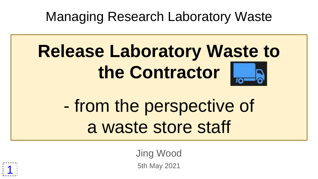Managing Research Laboratory Waste

# **Release Laboratory Waste to the Contractor**

## - from the perspective of a waste store staff

Jing Wood 5th May 2021

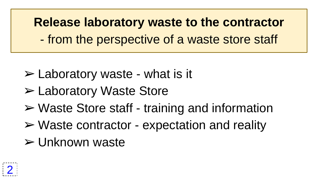**Release laboratory waste to the contractor** - from the perspective of a waste store staff

- $\triangleright$  Laboratory waste what is it
- ➢ Laboratory Waste Store
- ➢ Waste Store staff training and information
- $\triangleright$  Waste contractor expectation and reality
- ➢ Unknown waste

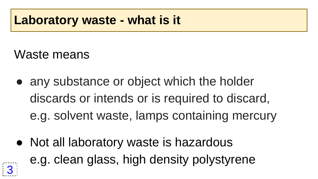#### **Laboratory waste - what is it**

Waste means

- any substance or object which the holder discards or intends or is required to discard, e.g. solvent waste, lamps containing mercury
- Not all laboratory waste is hazardous e.g. clean glass, high density polystyrene 3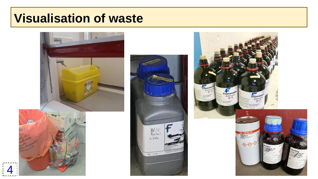#### **Visualisation of waste**





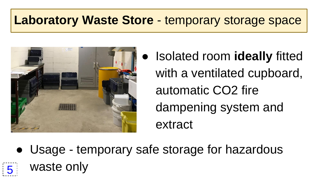#### **Laboratory Waste Store - temporary storage space**



**Isolated room ideally fitted** with a ventilated cupboard, automatic CO2 fire dampening system and extract

● Usage - temporary safe storage for hazardous 5 waste only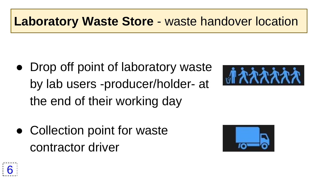#### **Laboratory Waste Store - waste handover location**

Drop off point of laboratory waste by lab users -producer/holder- at the end of their working day



● Collection point for waste contractor driver



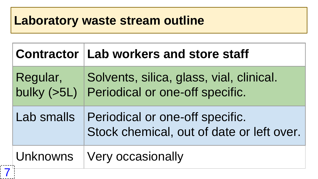#### **Laboratory waste stream outline**

|            | Contractor   Lab workers and store staff                                                |
|------------|-----------------------------------------------------------------------------------------|
| Regular,   | Solvents, silica, glass, vial, clinical.<br>bulky (>5L) Periodical or one-off specific. |
| Lab smalls | Periodical or one-off specific.<br>Stock chemical, out of date or left over.            |
|            | Unknowns   Very occasionally                                                            |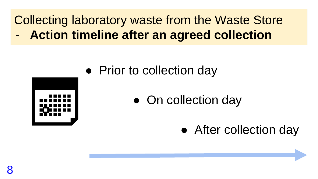#### Collecting laboratory waste from the Waste Store - **Action timeline after an agreed collection**



- Prior to collection day
	- On collection day
		- After collection day

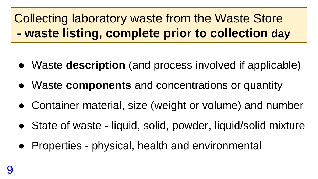## Collecting laboratory waste from the Waste Store **- waste listing, complete prior to collection day**

- Waste **description** (and process involved if applicable)
- Waste **components** and concentrations or quantity
- Container material, size (weight or volume) and number
- State of waste liquid, solid, powder, liquid/solid mixture
- Properties physical, health and environmental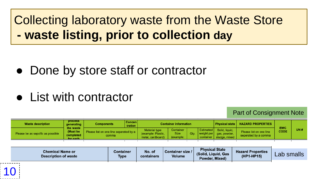Collecting laboratory waste from the Waste Store **- waste listing, prior to collection day**

- Done by store staff or contractor
- List with contractor

10

Part of Consignment Note

| <b>Waste description</b>          | <b>process</b><br>generating<br>the waste | <b>Components</b> | <b>Concen</b><br>tration               |  | <b>Container information</b>          |      | <b>Physical state</b>                                                                     | <b>HAZARD PROPERTIES</b>                        | <b>EWC</b>  |     |
|-----------------------------------|-------------------------------------------|-------------------|----------------------------------------|--|---------------------------------------|------|-------------------------------------------------------------------------------------------|-------------------------------------------------|-------------|-----|
| Please be as sepcific as possible | (Must be<br>completed<br>for each         | comma             | Please list on one line separated by a |  | Container<br><b>Size</b><br>(example: | Qtv. | <b>Estimated</b> Solid, liquid,<br>weight per   gas, powder,<br>container   sludge, mixed | Please list on one line<br>seperated by a comma | <b>CODE</b> | UN# |

| <b>Chemical Name or</b><br><b>Description of waste</b> | Container<br><b>Type</b> | No. of<br>containers | <b>Container size /</b><br><b>Volume</b> | <b>Physical State</b><br>(Solid, Liguid, Gas<br>Powder, Mixed) | <b>Hazard Properties</b><br>(HP1-HP15) | _ab<br>smalls |
|--------------------------------------------------------|--------------------------|----------------------|------------------------------------------|----------------------------------------------------------------|----------------------------------------|---------------|
|--------------------------------------------------------|--------------------------|----------------------|------------------------------------------|----------------------------------------------------------------|----------------------------------------|---------------|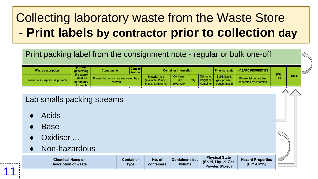## Collecting laboratory waste from the Waste Store **- Print labels by contractor prior to collection day**

#### Print packing label from the consignment note - regular or bulk one-off

| <b>Estimated</b> Solid, liquid,<br>Container<br><b>Material type</b><br><b>CODE</b><br>(Must be<br>Please list on one line<br>Please list on one line separated by a<br>weight per<br>Size<br>Qtv.<br>Please be as sepcific as possible<br>(example: Plastic,<br>gas, powder, | <b>Waste description</b> | <b>process</b><br>generating | <b>Components</b> | <b>Container information</b> |                   |           |  |  | Physical state   HAZARD PROPERTIES | <b>EWC</b>           |  |     |  |
|-------------------------------------------------------------------------------------------------------------------------------------------------------------------------------------------------------------------------------------------------------------------------------|--------------------------|------------------------------|-------------------|------------------------------|-------------------|-----------|--|--|------------------------------------|----------------------|--|-----|--|
| container I<br>for each                                                                                                                                                                                                                                                       | the waste<br>completed   |                              | comma             |                              | metal, cardboard) | (example: |  |  | sludge, mixed                      | seperated by a comma |  | UN# |  |

#### Lab smalls packing streams

- **Acids**
- **Base**

- Oxidiser ...
- Non-hazardous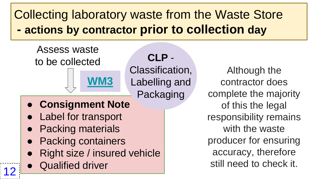#### Collecting laboratory waste from the Waste Store **- actions by contractor prior to collection day**

**CLP** -



- 
- **Right size / insured vehicle**
- **Qualified driver**

12

Although the contractor does complete the majority of this the legal responsibility remains with the waste producer for ensuring accuracy, therefore still need to check it.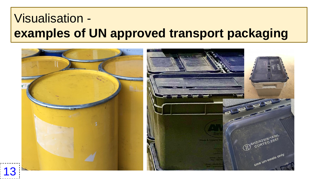#### Visualisation **examples of UN approved transport packaging**

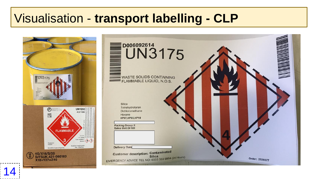#### Visualisation - **transport labelling - CLP**

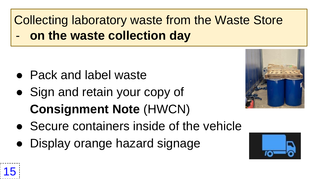Collecting laboratory waste from the Waste Store on the waste collection day

- Pack and label waste
- Sign and retain your copy of **Consignment Note** (HWCN)
- Secure containers inside of the vehicle
- Display orange hazard signage





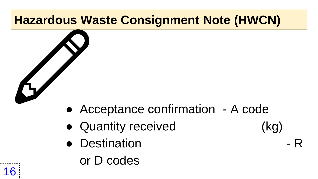## **Hazardous Waste Consignment Note (HWCN)**

- Acceptance confirmation A code ✏
	- Quantity received (kg)
	- Destination FR
- 



or D codes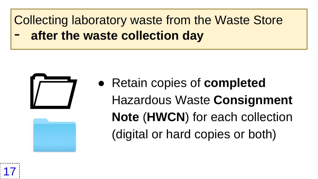#### Collecting laboratory waste from the Waste Store **after the waste collection day**





● Retain copies of **completed** Hazardous Waste **Consignment Note** (**HWCN**) for each collection (digital or hard copies or both)

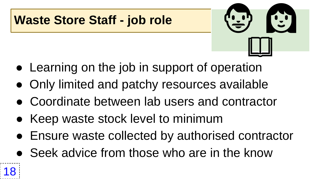#### **Waste Store Staff - job role**

- $\odot$  $\Box$
- Learning on the job in support of operation
- Only limited and patchy resources available
- Coordinate between lab users and contractor
- Keep waste stock level to minimum
- Ensure waste collected by authorised contractor
- Seek advice from those who are in the know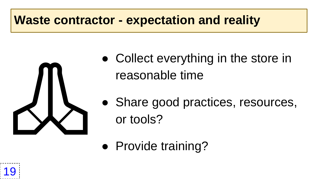#### **Waste contractor - expectation and reality**



• Collect everything in the store in reasonable time

- Share good practices, resources,
- Provide training?

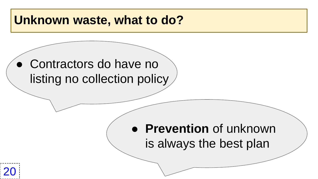#### **Unknown waste, what to do?**

#### • Contractors do have no listing no collection policy

#### ● **Prevention** of unknown is always the best plan

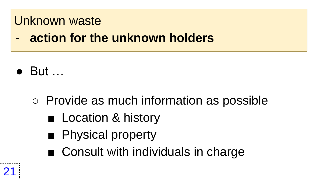#### Unknown waste

**action for the unknown holders** 

- But …
	- Provide as much information as possible
		- Location & history
		- Physical property
		- Consult with individuals in charge

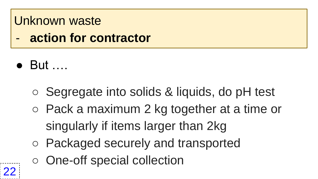#### Unknown waste

- **action for contractor**
- But ….
	- Segregate into solids & liquids, do pH test
	- Pack a maximum 2 kg together at a time or singularly if items larger than 2kg
	- Packaged securely and transported
	- One-off special collection

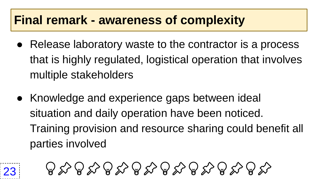#### **Final remark - awareness of complexity**

- Release laboratory waste to the contractor is a process that is highly regulated, logistical operation that involves multiple stakeholders
- Knowledge and experience gaps between ideal situation and daily operation have been noticed. Training provision and resource sharing could benefit all parties involved



 $\bigoplus_{\mathcal{A}}\bigotimes_{\mathcal{A}}\bigotimes_{\mathcal{A}}\bigotimes_{\mathcal{A}}\bigotimes_{\mathcal{A}}\bigotimes_{\mathcal{A}}\bigotimes_{\mathcal{A}}\bigotimes_{\mathcal{A}}\bigotimes_{\mathcal{A}}\bigotimes_{\mathcal{A}}\bigotimes_{\mathcal{A}}\bigotimes_{\mathcal{A}}\bigotimes_{\mathcal{A}}\bigotimes_{\mathcal{A}}\bigotimes_{\mathcal{A}}\bigotimes_{\mathcal{A}}\bigotimes_{\mathcal{A}}\bigotimes_{\mathcal{A}}\bigotimes_{\mathcal{A}}\bigotimes_{\mathcal{A}}$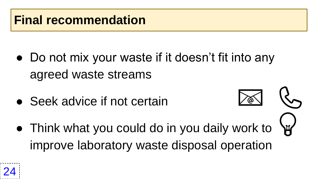• Do not mix your waste if it doesn't fit into any agreed waste streams

 $\frac{1}{2}$ 

 $\binom{R}{n}$ 

- Seek advice if not certain
- Think what you could do in you daily work to improve laboratory waste disposal operation